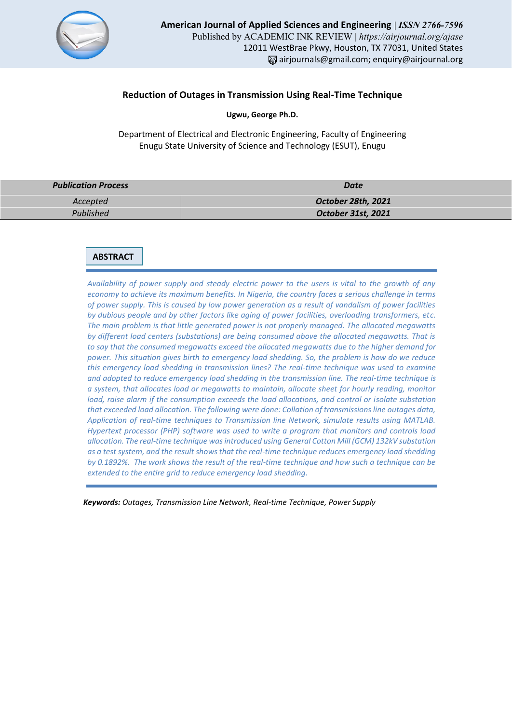

## **Reduction of Outages in Transmission Using Real-Time Technique**

**Ugwu, George Ph.D.**

Department of Electrical and Electronic Engineering, Faculty of Engineering Enugu State University of Science and Technology (ESUT), Enugu

| <b>Publication Process</b> | Date                      |
|----------------------------|---------------------------|
| Accepted                   | October 28th, 2021        |
| Published                  | <b>October 31st, 2021</b> |

# **ABSTRACT**

*Availability of power supply and steady electric power to the users is vital to the growth of any economy to achieve its maximum benefits. In Nigeria, the country faces a serious challenge in terms of power supply. This is caused by low power generation as a result of vandalism of power facilities by dubious people and by other factors like aging of power facilities, overloading transformers, etc. The main problem is that little generated power is not properly managed. The allocated megawatts by different load centers (substations) are being consumed above the allocated megawatts. That is to say that the consumed megawatts exceed the allocated megawatts due to the higher demand for power. This situation gives birth to emergency load shedding. So, the problem is how do we reduce this emergency load shedding in transmission lines? The real-time technique was used to examine and adopted to reduce emergency load shedding in the transmission line. The real-time technique is a system, that allocates load or megawatts to maintain, allocate sheet for hourly reading, monitor load, raise alarm if the consumption exceeds the load allocations, and control or isolate substation that exceeded load allocation. The following were done: Collation of transmissions line outages data, Application of real-time techniques to Transmission line Network, simulate results using MATLAB. Hypertext processor (PHP) software was used to write a program that monitors and controls load allocation. The real-time technique was introduced using General Cotton Mill (GCM) 132kV substation as a test system, and the result shows that the real-time technique reduces emergency load shedding by 0.1892%. The work shows the result of the real-time technique and how such a technique can be extended to the entire grid to reduce emergency load shedding.*

 *Keywords: Outages, Transmission Line Network, Real-time Technique, Power Supply*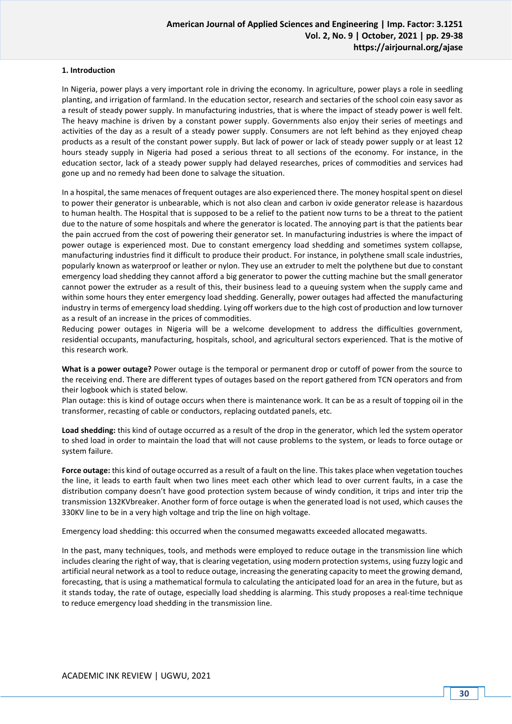## **1. Introduction**

In Nigeria, power plays a very important role in driving the economy. In agriculture, power plays a role in seedling planting, and irrigation of farmland. In the education sector, research and sectaries of the school coin easy savor as a result of steady power supply. In manufacturing industries, that is where the impact of steady power is well felt. The heavy machine is driven by a constant power supply. Governments also enjoy their series of meetings and activities of the day as a result of a steady power supply. Consumers are not left behind as they enjoyed cheap products as a result of the constant power supply. But lack of power or lack of steady power supply or at least 12 hours steady supply in Nigeria had posed a serious threat to all sections of the economy. For instance, in the education sector, lack of a steady power supply had delayed researches, prices of commodities and services had gone up and no remedy had been done to salvage the situation.

In a hospital, the same menaces of frequent outages are also experienced there. The money hospital spent on diesel to power their generator is unbearable, which is not also clean and carbon iv oxide generator release is hazardous to human health. The Hospital that is supposed to be a relief to the patient now turns to be a threat to the patient due to the nature of some hospitals and where the generator is located. The annoying part is that the patients bear the pain accrued from the cost of powering their generator set. In manufacturing industries is where the impact of power outage is experienced most. Due to constant emergency load shedding and sometimes system collapse, manufacturing industries find it difficult to produce their product. For instance, in polythene small scale industries, popularly known as waterproof or leather or nylon. They use an extruder to melt the polythene but due to constant emergency load shedding they cannot afford a big generator to power the cutting machine but the small generator cannot power the extruder as a result of this, their business lead to a queuing system when the supply came and within some hours they enter emergency load shedding. Generally, power outages had affected the manufacturing industry in terms of emergency load shedding. Lying off workers due to the high cost of production and low turnover as a result of an increase in the prices of commodities.

Reducing power outages in Nigeria will be a welcome development to address the difficulties government, residential occupants, manufacturing, hospitals, school, and agricultural sectors experienced. That is the motive of this research work.

**What is a power outage?** Power outage is the temporal or permanent drop or cutoff of power from the source to the receiving end. There are different types of outages based on the report gathered from TCN operators and from their logbook which is stated below.

Plan outage: this is kind of outage occurs when there is maintenance work. It can be as a result of topping oil in the transformer, recasting of cable or conductors, replacing outdated panels, etc.

**Load shedding:** this kind of outage occurred as a result of the drop in the generator, which led the system operator to shed load in order to maintain the load that will not cause problems to the system, or leads to force outage or system failure.

**Force outage:** this kind of outage occurred as a result of a fault on the line. This takes place when vegetation touches the line, it leads to earth fault when two lines meet each other which lead to over current faults, in a case the distribution company doesn't have good protection system because of windy condition, it trips and inter trip the transmission 132KVbreaker. Another form of force outage is when the generated load is not used, which causes the 330KV line to be in a very high voltage and trip the line on high voltage.

Emergency load shedding: this occurred when the consumed megawatts exceeded allocated megawatts.

In the past, many techniques, tools, and methods were employed to reduce outage in the transmission line which includes clearing the right of way, that is clearing vegetation, using modern protection systems, using fuzzy logic and artificial neural network as a tool to reduce outage, increasing the generating capacity to meet the growing demand, forecasting, that is using a mathematical formula to calculating the anticipated load for an area in the future, but as it stands today, the rate of outage, especially load shedding is alarming. This study proposes a real-time technique to reduce emergency load shedding in the transmission line.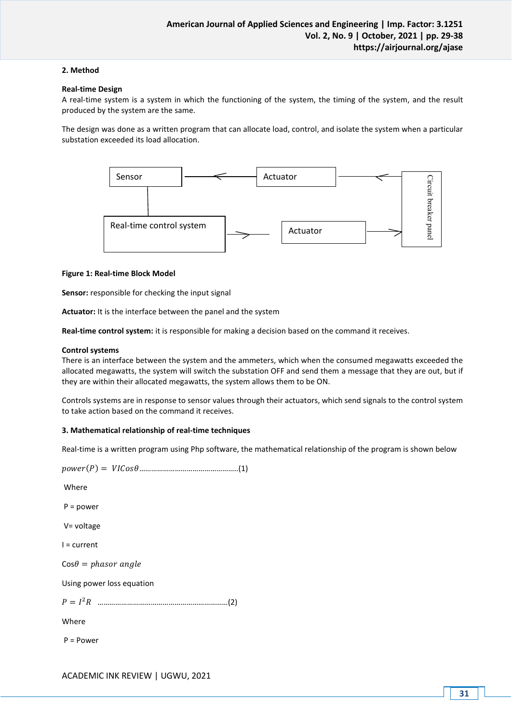### **2. Method**

### **Real-time Design**

A real-time system is a system in which the functioning of the system, the timing of the system, and the result produced by the system are the same.

The design was done as a written program that can allocate load, control, and isolate the system when a particular substation exceeded its load allocation.



#### **Figure 1: Real-time Block Model**

**Sensor:** responsible for checking the input signal

**Actuator:** It is the interface between the panel and the system

**Real-time control system:** it is responsible for making a decision based on the command it receives.

#### **Control systems**

There is an interface between the system and the ammeters, which when the consumed megawatts exceeded the allocated megawatts, the system will switch the substation OFF and send them a message that they are out, but if they are within their allocated megawatts, the system allows them to be ON.

Controls systems are in response to sensor values through their actuators, which send signals to the control system to take action based on the command it receives.

#### **3. Mathematical relationship of real-time techniques**

Real-time is a written program using Php software, the mathematical relationship of the program is shown below

```
() = …………………………………………..(1)
Where 
P = power
V= voltage 
I = current 
Cos \theta = phasor angleUsing power loss equation
 = 
2 …………………………………………………………(2)
Where 
P = Power
```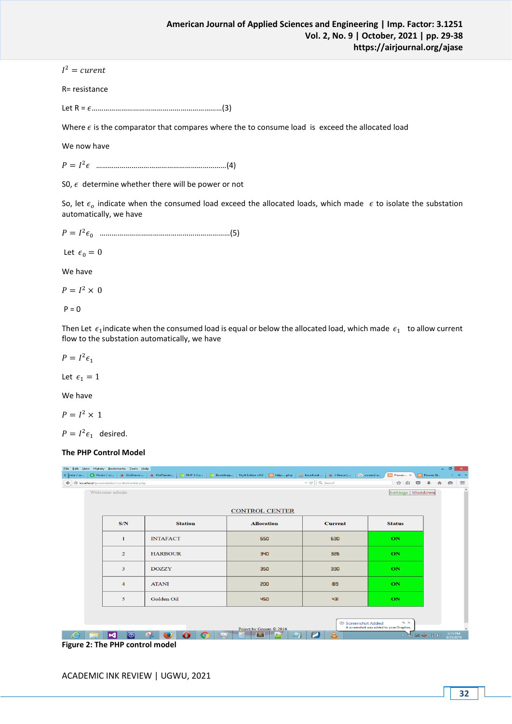$I^2$  = curent

R= resistance

Let R = …………………………………………………………(3)

Where  $\epsilon$  is the comparator that compares where the to consume load is exceed the allocated load

We now have

= 2 …………………………………………………………(4)

S0,  $\epsilon$  determine whether there will be power or not

So, let  $\epsilon_o$  indicate when the consumed load exceed the allocated loads, which made  $\epsilon$  to isolate the substation automatically, we have

= 2 0 …………………………………………………………(5)

Let  $\epsilon_0 = 0$ 

We have

 $P = I^2 \times 0$ 

 $P = 0$ 

Then Let  $\epsilon_1$ indicate when the consumed load is equal or below the allocated load, which made  $\epsilon_1$  to allow current flow to the substation automatically, we have

 $P = I^2 \epsilon_1$ 

Let  $\epsilon_1 = 1$ 

We have

 $P = I^2 \times 1$ 

 $P = I^2 \epsilon_1$  desired.

#### **The PHP Control Model**

| Eile Edit View History Bookmarks Tools Help |                    |                 |                |                | < iverr / cr   <b>(ii)</b> Fiverr / cr   ★ DuShane    ★ OnPlanet   23 PHP 5 Co   23 Bootstrap   Tryit Editor v3.0   <mark>[2]</mark> http:php   <i>  b</i>   localhost    ★ J Grace |         |   |                | G correct e                     | <b>B3</b> Power ×                                            | <b>Power St</b>       |          | - 61                 | $\mathbf{x}$<br>$+ -$ |
|---------------------------------------------|--------------------|-----------------|----------------|----------------|-------------------------------------------------------------------------------------------------------------------------------------------------------------------------------------|---------|---|----------------|---------------------------------|--------------------------------------------------------------|-----------------------|----------|----------------------|-----------------------|
|                                             |                    |                 |                |                |                                                                                                                                                                                     |         |   | ☆ 自            | $\ddot{\phantom{1}}$<br>$\circ$ | 合                                                            | $\Theta$              | $\equiv$ |                      |                       |
| Welcome admin                               |                    |                 |                |                |                                                                                                                                                                                     |         |   |                |                                 | <b>Settings   Shutdown</b>                                   |                       |          |                      | $\sim$                |
|                                             |                    |                 |                |                |                                                                                                                                                                                     |         |   |                |                                 |                                                              |                       |          |                      |                       |
| <b>CONTROL CENTER</b>                       |                    |                 |                |                |                                                                                                                                                                                     |         |   |                |                                 |                                                              |                       |          |                      |                       |
|                                             | S/N                |                 | <b>Station</b> |                | <b>Allocation</b>                                                                                                                                                                   |         |   | <b>Current</b> |                                 | <b>Status</b>                                                |                       |          |                      |                       |
|                                             | 1                  | <b>INTAFACT</b> |                |                | 650                                                                                                                                                                                 |         |   | 630            |                                 | ON                                                           |                       |          |                      |                       |
|                                             | $\overline{2}$     | <b>HARBOUR</b>  |                |                |                                                                                                                                                                                     | 340     |   | 326            |                                 | ON                                                           |                       |          |                      |                       |
|                                             | 3                  | <b>DOZZY</b>    |                |                |                                                                                                                                                                                     | 350     |   | 330            |                                 | ON                                                           |                       |          |                      |                       |
|                                             | 4                  | <b>ATANI</b>    |                |                |                                                                                                                                                                                     | 200     |   | 189            |                                 | ON                                                           |                       |          |                      |                       |
|                                             | 5                  | Golden Oil      |                |                |                                                                                                                                                                                     | 450     |   | ЧЭ             |                                 | ON                                                           |                       |          |                      |                       |
|                                             |                    |                 |                |                | Poject by George © 2016                                                                                                                                                             |         |   |                | Screenshot Added                | $\alpha$ $\times$<br>A screenshot was added to your Dropbox. |                       |          |                      |                       |
| ∣×                                          | $\overline{\odot}$ | - 1             |                | <b>Michael</b> | $\overline{\mathbf{s}}$                                                                                                                                                             | $0 + 7$ | P | A              |                                 |                                                              | $-33.30$ (a) $-1$ (b) |          | 6:15 PM<br>8/25/2016 |                       |
| Figure 2: The PHP control model             |                    |                 |                |                |                                                                                                                                                                                     |         |   |                |                                 |                                                              |                       |          |                      |                       |

ACADEMIC INK REVIEW | UGWU, 2021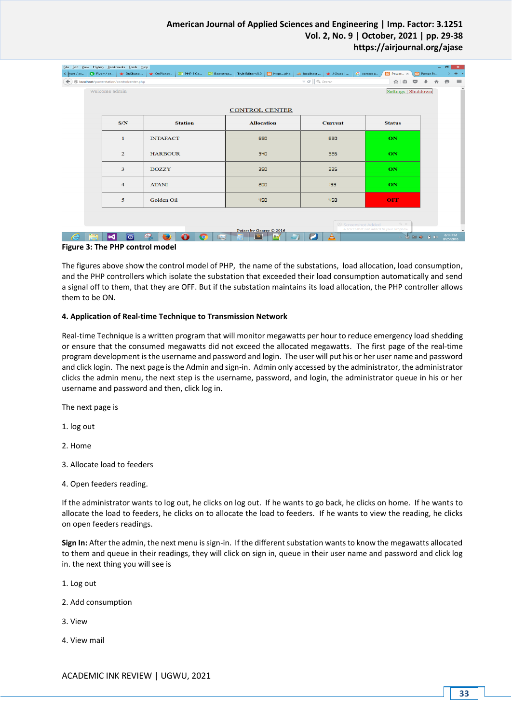## **American Journal of Applied Sciences and Engineering | Imp. Factor: 3.1251 Vol. 2, No. 9 | October, 2021 | pp. 29-38 https://airjournal.org/ajase**

|                                                                                                     | Eile Edit View History Bookmarks Tools Help<br>< jiverr / cr   ● Fiverr / cr   ★ DuShane    ★ OnPlanet    28 PHP 5 Co   28 Bootstrap    Tryit Editor v3.0   [2] http:php     从 localhost    ★ J Grace |                 |                |                 |                       |         |  |                | G correct e | <b>B3</b> Power x          |          | <b>B</b> Power St                                                                                                                                                                                                                                                                                                                                                                                                                                                                                                                  | $\Box$               | $\mathbf{X}$ .<br>$+$ $+$ |
|-----------------------------------------------------------------------------------------------------|-------------------------------------------------------------------------------------------------------------------------------------------------------------------------------------------------------|-----------------|----------------|-----------------|-----------------------|---------|--|----------------|-------------|----------------------------|----------|------------------------------------------------------------------------------------------------------------------------------------------------------------------------------------------------------------------------------------------------------------------------------------------------------------------------------------------------------------------------------------------------------------------------------------------------------------------------------------------------------------------------------------|----------------------|---------------------------|
|                                                                                                     | $\left( \blacklozenge\right)$ localhost/powerstation/controlcenter.php                                                                                                                                |                 |                |                 |                       |         |  | ☆ 自            | $\circ$ +   | 合                          | $\Theta$ | $\equiv$                                                                                                                                                                                                                                                                                                                                                                                                                                                                                                                           |                      |                           |
| Welcome admin                                                                                       |                                                                                                                                                                                                       |                 |                |                 |                       |         |  |                |             | <b>Settings   Shutdown</b> |          |                                                                                                                                                                                                                                                                                                                                                                                                                                                                                                                                    |                      | $\hat{\phantom{a}}$       |
|                                                                                                     |                                                                                                                                                                                                       |                 |                |                 |                       |         |  |                |             |                            |          |                                                                                                                                                                                                                                                                                                                                                                                                                                                                                                                                    |                      |                           |
|                                                                                                     |                                                                                                                                                                                                       |                 |                |                 | <b>CONTROL CENTER</b> |         |  |                |             |                            |          |                                                                                                                                                                                                                                                                                                                                                                                                                                                                                                                                    |                      |                           |
|                                                                                                     | S/N                                                                                                                                                                                                   |                 | <b>Station</b> |                 | <b>Allocation</b>     |         |  | <b>Current</b> |             | <b>Status</b>              |          |                                                                                                                                                                                                                                                                                                                                                                                                                                                                                                                                    |                      |                           |
|                                                                                                     | 1                                                                                                                                                                                                     | <b>INTAFACT</b> |                |                 | 650                   |         |  | 630            |             | ON                         |          |                                                                                                                                                                                                                                                                                                                                                                                                                                                                                                                                    |                      |                           |
|                                                                                                     | $\overline{2}$                                                                                                                                                                                        | <b>HARBOUR</b>  |                |                 | 340                   |         |  | 326            |             | ON                         |          |                                                                                                                                                                                                                                                                                                                                                                                                                                                                                                                                    |                      |                           |
|                                                                                                     | 3                                                                                                                                                                                                     | <b>DOZZY</b>    |                |                 |                       | 350     |  | 335            |             | ON                         |          |                                                                                                                                                                                                                                                                                                                                                                                                                                                                                                                                    |                      |                           |
|                                                                                                     | $\overline{4}$                                                                                                                                                                                        | <b>ATANI</b>    |                | 200<br>193      |                       |         |  |                |             |                            |          |                                                                                                                                                                                                                                                                                                                                                                                                                                                                                                                                    |                      |                           |
|                                                                                                     | 5                                                                                                                                                                                                     | Golden Oil      |                |                 | 450                   |         |  | <b>OFF</b>     |             |                            |          |                                                                                                                                                                                                                                                                                                                                                                                                                                                                                                                                    |                      |                           |
|                                                                                                     |                                                                                                                                                                                                       |                 |                |                 |                       |         |  |                |             | $\mathcal{A}_1 \times$     |          |                                                                                                                                                                                                                                                                                                                                                                                                                                                                                                                                    |                      |                           |
| <sup>⊗</sup> Screenshot Added<br>A screenshot was added to your Dropbox.<br>Poject by George © 2016 |                                                                                                                                                                                                       |                 |                |                 |                       |         |  |                |             |                            |          |                                                                                                                                                                                                                                                                                                                                                                                                                                                                                                                                    |                      |                           |
|                                                                                                     | M<br>$\overline{\odot}$                                                                                                                                                                               | ا ک             |                | In<br>$\bigcap$ | $\mathsf{S}$          | $n - 1$ |  | A              |             |                            |          | $\begin{array}{c} \Delta \end{array} \begin{array}{c} \begin{array}{c} \text{in} \\ \text{out} \end{array} \begin{array}{c} \text{in} \\ \text{out} \end{array} \begin{array}{c} \begin{array}{c} \text{in} \\ \text{out} \end{array} \begin{array}{c} \text{in} \\ \text{out} \end{array} \begin{array}{c} \text{in} \\ \text{out} \end{array} \begin{array}{c} \end{array} \begin{array}{c} \text{in} \\ \text{out} \end{array} \begin{array}{c} \text{in} \\ \text{out} \end{array} \begin{array}{c} \text{in} \\ \text{out} \$ | 6:14 PM<br>8/25/2016 |                           |
|                                                                                                     | Figure 3: The BUD control model                                                                                                                                                                       |                 |                |                 |                       |         |  |                |             |                            |          |                                                                                                                                                                                                                                                                                                                                                                                                                                                                                                                                    |                      |                           |

### **Figure 3: The PHP control model**

The figures above show the control model of PHP, the name of the substations, load allocation, load consumption, and the PHP controllers which isolate the substation that exceeded their load consumption automatically and send a signal off to them, that they are OFF. But if the substation maintains its load allocation, the PHP controller allows them to be ON.

#### **4. Application of Real-time Technique to Transmission Network**

Real-time Technique is a written program that will monitor megawatts per hour to reduce emergency load shedding or ensure that the consumed megawatts did not exceed the allocated megawatts. The first page of the real-time program development is the username and password and login. The user will put his or her user name and password and click login. The next page is the Admin and sign-in. Admin only accessed by the administrator, the administrator clicks the admin menu, the next step is the username, password, and login, the administrator queue in his or her username and password and then, click log in.

The next page is

1. log out

2. Home

- 3. Allocate load to feeders
- 4. Open feeders reading.

If the administrator wants to log out, he clicks on log out. If he wants to go back, he clicks on home. If he wants to allocate the load to feeders, he clicks on to allocate the load to feeders. If he wants to view the reading, he clicks on open feeders readings.

**Sign In:** After the admin, the next menu is sign-in. If the different substation wants to know the megawatts allocated to them and queue in their readings, they will click on sign in, queue in their user name and password and click log in. the next thing you will see is

1. Log out

- 2. Add consumption
- 3. View
- 4. View mail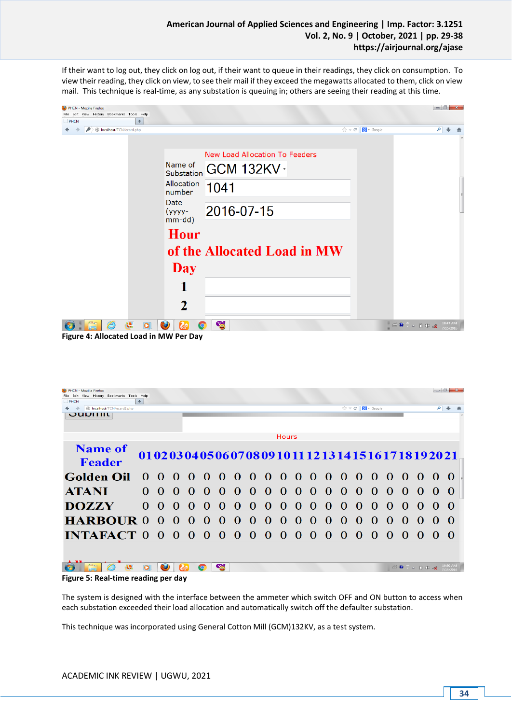If their want to log out, they click on log out, if their want to queue in their readings, they click on consumption. To view their reading, they click on view, to see their mail if they exceed the megawatts allocated to them, click on view mail. This technique is real-time, as any substation is queuing in; others are seeing their reading at this time.

| PHCN - Mozilla Firefox<br>File Edit View History Bookmarks Tools Help<br>÷<br>PHCN |                                 |                                                                       |                                                                             | $\begin{array}{c c c c c} \hline \multicolumn{1}{c }{\mathbf{0}} & \multicolumn{1}{c }{\mathbf{x}} \\\hline \end{array}$ |
|------------------------------------------------------------------------------------|---------------------------------|-----------------------------------------------------------------------|-----------------------------------------------------------------------------|--------------------------------------------------------------------------------------------------------------------------|
| localhost/TCN/ecard.php                                                            |                                 |                                                                       | $\uparrow$ $\vee$ $\circ$ $\blacksquare$ $\blacksquare$ + Google            | $\rho$ $\downarrow$<br>合                                                                                                 |
|                                                                                    | Allocation<br>number            | <b>New Load Allocation To Feeders</b><br>IName of GCM 132KV -<br>1041 |                                                                             |                                                                                                                          |
|                                                                                    | <b>Date</b><br>(уууу-<br>mm-dd) | 2016-07-15                                                            |                                                                             |                                                                                                                          |
|                                                                                    | <b>Hour</b>                     |                                                                       |                                                                             |                                                                                                                          |
|                                                                                    |                                 | of the Allocated Load in MW                                           |                                                                             |                                                                                                                          |
|                                                                                    | <b>Day</b>                      |                                                                       |                                                                             |                                                                                                                          |
|                                                                                    | 1                               |                                                                       |                                                                             |                                                                                                                          |
|                                                                                    | $\mathbf 2$                     |                                                                       |                                                                             |                                                                                                                          |
| ê<br>禯<br>$\bullet$                                                                | $\mathbf{k}$<br><b>O</b><br>O   | <u>କା</u>                                                             | $\mathbb{H} \oplus \mathbb{C} \xrightarrow{c} \mathbb{C} \oplus \mathbb{C}$ | 10:47 AN<br>7/15/2016                                                                                                    |

**Figure 4: Allocated Load in MW Per Day**

| PHCN - Mozilla Firefox<br>Eile Edit View History Bookmarks Tools Help |                                                                                                                 |                   |                                            |    |                |          |                |                             |              |            |          |          |          |           |                                                     |          |                |                           |                    |                          | $\begin{array}{c c c c c} \hline \multicolumn{1}{ c }{\multicolumn{1}{c }{\multicolumn{1}{c }{\multicolumn{1}{c }{\multicolumn{1}{c }{\multicolumn{1}{c }{\multicolumn{1}{c}}}}}} \hline \multicolumn{1}{c }{\multicolumn{1}{c }{\multicolumn{1}{c }{\multicolumn{1}{c }{\multicolumn{1}{c }{\multicolumn{1}{c }{\multicolumn{1}{c }{\multicolumn{1}{c }{\multicolumn{1}{c }{\multicolumn{1}{c }{\multicolumn{1}{c }{\multicolumn{1}{c }{\multicolumn{1}{$ |  |
|-----------------------------------------------------------------------|-----------------------------------------------------------------------------------------------------------------|-------------------|--------------------------------------------|----|----------------|----------|----------------|-----------------------------|--------------|------------|----------|----------|----------|-----------|-----------------------------------------------------|----------|----------------|---------------------------|--------------------|--------------------------|------------------------------------------------------------------------------------------------------------------------------------------------------------------------------------------------------------------------------------------------------------------------------------------------------------------------------------------------------------------------------------------------------------------------------------------------------------|--|
| PHCN                                                                  | ÷                                                                                                               |                   |                                            |    |                |          |                |                             |              |            |          |          |          |           |                                                     |          |                |                           |                    |                          |                                                                                                                                                                                                                                                                                                                                                                                                                                                            |  |
| localhost/TCN/ecard2.php<br>$\rightarrow$                             |                                                                                                                 |                   |                                            |    |                |          |                |                             |              |            |          |          |          |           | $\Rightarrow$ $\in$ $\blacksquare$ $\bullet$ Google |          |                |                           |                    | $\sim$                   | $\blacksquare$                                                                                                                                                                                                                                                                                                                                                                                                                                             |  |
| OUDHIIL                                                               |                                                                                                                 |                   |                                            |    |                |          |                |                             |              |            |          |          |          |           |                                                     |          |                |                           |                    |                          |                                                                                                                                                                                                                                                                                                                                                                                                                                                            |  |
|                                                                       |                                                                                                                 |                   |                                            |    |                |          |                |                             |              |            |          |          |          |           |                                                     |          |                |                           |                    |                          |                                                                                                                                                                                                                                                                                                                                                                                                                                                            |  |
|                                                                       |                                                                                                                 |                   |                                            |    |                |          |                |                             |              |            |          |          |          |           |                                                     |          |                |                           |                    |                          |                                                                                                                                                                                                                                                                                                                                                                                                                                                            |  |
|                                                                       | Hours                                                                                                           |                   |                                            |    |                |          |                |                             |              |            |          |          |          |           |                                                     |          |                |                           |                    |                          |                                                                                                                                                                                                                                                                                                                                                                                                                                                            |  |
| <b>Name of</b>                                                        |                                                                                                                 |                   |                                            |    |                |          |                |                             |              |            |          |          |          |           |                                                     |          |                |                           |                    |                          |                                                                                                                                                                                                                                                                                                                                                                                                                                                            |  |
|                                                                       |                                                                                                                 |                   | 010203040506070809101112131415161718192021 |    |                |          |                |                             |              |            |          |          |          |           |                                                     |          |                |                           |                    |                          |                                                                                                                                                                                                                                                                                                                                                                                                                                                            |  |
| Feader                                                                |                                                                                                                 |                   |                                            |    |                |          |                |                             |              |            |          |          |          |           |                                                     |          |                |                           |                    |                          |                                                                                                                                                                                                                                                                                                                                                                                                                                                            |  |
|                                                                       |                                                                                                                 |                   |                                            |    |                |          |                |                             |              |            |          |          |          |           |                                                     |          |                |                           |                    |                          |                                                                                                                                                                                                                                                                                                                                                                                                                                                            |  |
| <b>Golden Oil</b>                                                     |                                                                                                                 |                   | $0 \quad 0 \quad 0 \quad 0$                |    | - 0            |          |                | 000000000000                |              |            |          |          |          |           |                                                     |          | $\overline{0}$ |                           |                    | $0\quad 0\quad 0\quad 0$ |                                                                                                                                                                                                                                                                                                                                                                                                                                                            |  |
|                                                                       |                                                                                                                 |                   |                                            |    |                |          |                |                             |              |            |          |          |          |           |                                                     |          |                |                           |                    |                          |                                                                                                                                                                                                                                                                                                                                                                                                                                                            |  |
| <b>ATANI</b>                                                          |                                                                                                                 |                   | $0 \theta \theta \theta$                   |    | $\Omega$       |          |                |                             |              |            |          |          |          |           | - 0                                                 |          |                |                           |                    |                          | $\Omega$                                                                                                                                                                                                                                                                                                                                                                                                                                                   |  |
|                                                                       |                                                                                                                 |                   |                                            |    |                |          |                | $0\; 0\; 0\; 0\; 0\; 0\; 0$ |              |            |          |          | $\bf{0}$ | $\bf{0}$  |                                                     | $\bf{0}$ | $\bf{0}$       | $\Omega$                  | 0                  | $\Omega$                 |                                                                                                                                                                                                                                                                                                                                                                                                                                                            |  |
|                                                                       |                                                                                                                 | $\Omega$ $\Omega$ | $\Omega$                                   | -0 | $\Omega$       | $\Omega$ |                | $\Omega$                    | $\Omega$     |            | $\Omega$ | $\Omega$ | $\Omega$ | $\Omega$  | $\Omega$                                            | $\Omega$ | $\Omega$       |                           |                    | $\Omega$                 | - 0                                                                                                                                                                                                                                                                                                                                                                                                                                                        |  |
| <b>DOZZY</b>                                                          |                                                                                                                 |                   |                                            |    |                |          | -0             |                             |              | $\bigcirc$ |          |          |          |           |                                                     |          |                | $\Omega$                  | $\left($ $\right)$ |                          |                                                                                                                                                                                                                                                                                                                                                                                                                                                            |  |
|                                                                       |                                                                                                                 |                   |                                            |    |                |          |                | $\Omega$                    | $0\quad 0$   |            |          | $\Omega$ | $\Omega$ |           |                                                     | $\Omega$ | $\Omega$       |                           |                    | $\Omega$                 | - 0                                                                                                                                                                                                                                                                                                                                                                                                                                                        |  |
| <b>HARBOUR 0</b>                                                      |                                                                                                                 |                   | $0\quad 0\quad 0$                          |    | $\overline{0}$ | $\bf{0}$ | $\overline{0}$ |                             |              |            | $\Omega$ |          |          | $\bullet$ | 0                                                   |          |                | $\Omega$                  | $\Omega$           |                          |                                                                                                                                                                                                                                                                                                                                                                                                                                                            |  |
|                                                                       |                                                                                                                 |                   |                                            |    | $\bullet$      |          |                |                             |              |            |          |          |          |           | $\Omega$                                            |          |                |                           |                    |                          | - 0                                                                                                                                                                                                                                                                                                                                                                                                                                                        |  |
| INTAFACT 0 0 0 0                                                      |                                                                                                                 |                   |                                            |    |                |          | $0\quad 0$     | $\Omega$                    | $\mathbf{0}$ | - 0        | $\Omega$ | -0       | $\Omega$ | $\Omega$  |                                                     | $\Omega$ | $\Omega$       | $\Omega$                  | $\Omega$           | $\mathbf{\Omega}$        |                                                                                                                                                                                                                                                                                                                                                                                                                                                            |  |
|                                                                       |                                                                                                                 |                   |                                            |    |                |          |                |                             |              |            |          |          |          |           |                                                     |          |                |                           |                    |                          |                                                                                                                                                                                                                                                                                                                                                                                                                                                            |  |
|                                                                       |                                                                                                                 |                   |                                            |    |                |          |                |                             |              |            |          |          |          |           |                                                     |          |                |                           |                    |                          |                                                                                                                                                                                                                                                                                                                                                                                                                                                            |  |
|                                                                       |                                                                                                                 |                   |                                            |    |                |          |                |                             |              |            |          |          |          |           |                                                     |          |                |                           |                    |                          |                                                                                                                                                                                                                                                                                                                                                                                                                                                            |  |
|                                                                       |                                                                                                                 |                   |                                            |    | $\bullet$      | 정        |                |                             |              |            |          |          |          |           |                                                     |          |                | $\mathcal{L}(\mathbf{r})$ |                    |                          | 10:50 AN<br>7/15/2010                                                                                                                                                                                                                                                                                                                                                                                                                                      |  |
|                                                                       | and the state of the state of the state of the state of the state of the state of the state of the state of the |                   |                                            |    |                |          |                |                             |              |            |          |          |          |           |                                                     |          |                |                           |                    |                          |                                                                                                                                                                                                                                                                                                                                                                                                                                                            |  |

**Figure 5: Real-time reading per day**

The system is designed with the interface between the ammeter which switch OFF and ON button to access when each substation exceeded their load allocation and automatically switch off the defaulter substation.

This technique was incorporated using General Cotton Mill (GCM)132KV, as a test system.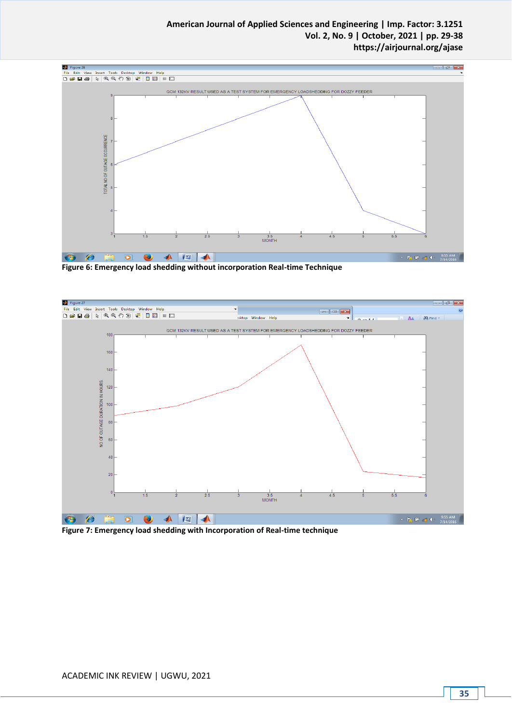## **American Journal of Applied Sciences and Engineering | Imp. Factor: 3.1251 Vol. 2, No. 9 | October, 2021 | pp. 29-38 https://airjournal.org/ajase**



**Figure 6: Emergency load shedding without incorporation Real-time Technique**



**Figure 7: Emergency load shedding with Incorporation of Real-time technique**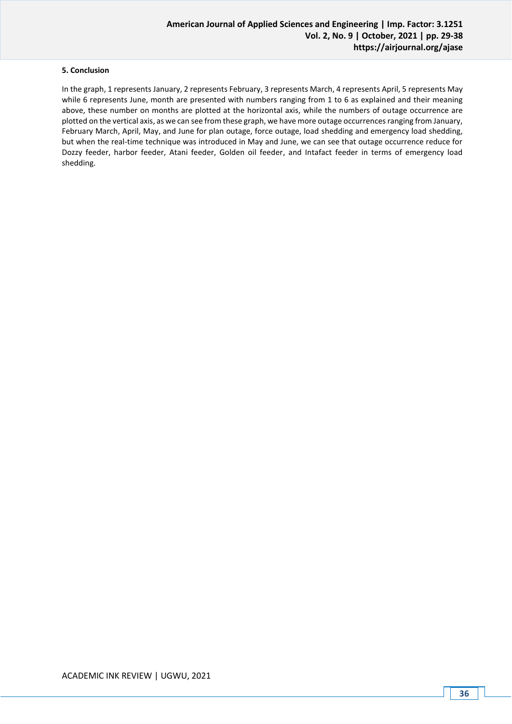## **5. Conclusion**

In the graph, 1 represents January, 2 represents February, 3 represents March, 4 represents April, 5 represents May while 6 represents June, month are presented with numbers ranging from 1 to 6 as explained and their meaning above, these number on months are plotted at the horizontal axis, while the numbers of outage occurrence are plotted on the vertical axis, as we can see from these graph, we have more outage occurrences ranging from January, February March, April, May, and June for plan outage, force outage, load shedding and emergency load shedding, but when the real-time technique was introduced in May and June, we can see that outage occurrence reduce for Dozzy feeder, harbor feeder, Atani feeder, Golden oil feeder, and Intafact feeder in terms of emergency load shedding.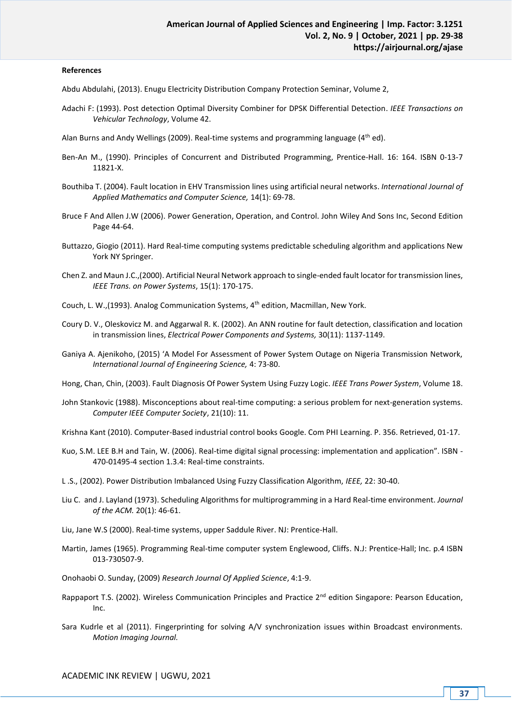### **References**

Abdu Abdulahi, (2013). Enugu Electricity Distribution Company Protection Seminar, Volume 2,

Adachi F: (1993). Post detection Optimal Diversity Combiner for DPSK Differential Detection. *IEEE Transactions on Vehicular Technology*, Volume 42.

Alan Burns and Andy Wellings (2009). Real-time systems and programming language ( $4<sup>th</sup>$  ed).

- Ben-An M., (1990). Principles of Concurrent and Distributed Programming, Prentice-Hall. 16: 164. ISBN 0-13-7 11821-X.
- Bouthiba T. (2004). Fault location in EHV Transmission lines using artificial neural networks. *International Journal of Applied Mathematics and Computer Science,* 14(1): 69-78.
- Bruce F And Allen J.W (2006). Power Generation, Operation, and Control. John Wiley And Sons Inc, Second Edition Page 44-64.
- Buttazzo, Giogio (2011). Hard Real-time computing systems predictable scheduling algorithm and applications New York NY Springer.
- Chen Z. and Maun J.C.,(2000). Artificial Neural Network approach to single-ended fault locator for transmission lines, *IEEE Trans. on Power Systems*, 15(1): 170-175.
- Couch, L. W.,(1993). Analog Communication Systems, 4th edition, Macmillan, New York.
- Coury D. V., Oleskovicz M. and Aggarwal R. K. (2002). An ANN routine for fault detection, classification and location in transmission lines, *Electrical Power Components and Systems,* 30(11): 1137-1149.
- Ganiya A. Ajenikoho, (2015) 'A Model For Assessment of Power System Outage on Nigeria Transmission Network, *International Journal of Engineering Science,* 4: 73-80.

Hong, Chan, Chin, (2003). Fault Diagnosis Of Power System Using Fuzzy Logic. *IEEE Trans Power System*, Volume 18.

John Stankovic (1988). Misconceptions about real-time computing: a serious problem for next-generation systems. *Computer IEEE Computer Society*, 21(10): 11.

Krishna Kant (2010). Computer-Based industrial control books Google. Com PHI Learning. P. 356. Retrieved, 01-17.

- Kuo, S.M. LEE B.H and Tain, W. (2006). Real-time digital signal processing: implementation and application". ISBN 470-01495-4 section 1.3.4: Real-time constraints.
- L .S., (2002). Power Distribution Imbalanced Using Fuzzy Classification Algorithm, *IEEE,* 22: 30-40.
- Liu C. and J. Layland (1973). Scheduling Algorithms for multiprogramming in a Hard Real-time environment. *Journal of the ACM.* 20(1): 46-61.
- Liu, Jane W.S (2000). Real-time systems, upper Saddule River. NJ: Prentice-Hall.
- Martin, James (1965). Programming Real-time computer system Englewood, Cliffs. N.J: Prentice-Hall; Inc. p.4 ISBN 013-730507-9.
- Onohaobi O. Sunday, (2009) *Research Journal Of Applied Science*, 4:1-9.
- Rappaport T.S. (2002). Wireless Communication Principles and Practice 2<sup>nd</sup> edition Singapore: Pearson Education, Inc.
- Sara Kudrle et al (2011). Fingerprinting for solving A/V synchronization issues within Broadcast environments. *Motion Imaging Journal.*

ACADEMIC INK REVIEW | UGWU, 2021